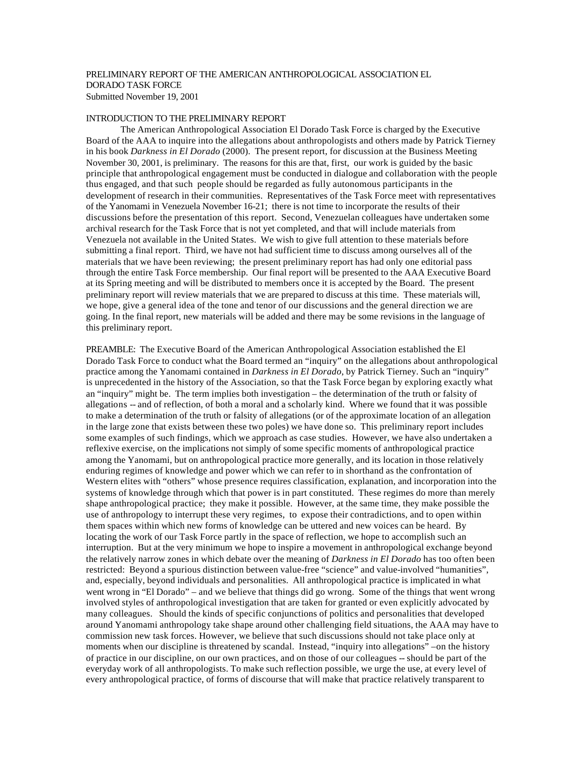# PRELIMINARY REPORT OF THE AMERICAN ANTHROPOLOGICAL ASSOCIATION EL DORADO TASK FORCE Submitted November 19, 2001

## INTRODUCTION TO THE PRELIMINARY REPORT

The American Anthropological Association El Dorado Task Force is charged by the Executive Board of the AAA to inquire into the allegations about anthropologists and others made by Patrick Tierney in his book *Darkness in El Dorado* (2000). The present report, for discussion at the Business Meeting November 30, 2001, is preliminary. The reasons for this are that, first, our work is guided by the basic principle that anthropological engagement must be conducted in dialogue and collaboration with the people thus engaged, and that such people should be regarded as fully autonomous participants in the development of research in their communities. Representatives of the Task Force meet with representatives of the Yanomami in Venezuela November 16-21; there is not time to incorporate the results of their discussions before the presentation of this report. Second, Venezuelan colleagues have undertaken some archival research for the Task Force that is not yet completed, and that will include materials from Venezuela not available in the United States. We wish to give full attention to these materials before submitting a final report. Third, we have not had sufficient time to discuss among ourselves all of the materials that we have been reviewing; the present preliminary report has had only one editorial pass through the entire Task Force membership. Our final report will be presented to the AAA Executive Board at its Spring meeting and will be distributed to members once it is accepted by the Board. The present preliminary report will review materials that we are prepared to discuss at this time. These materials will, we hope, give a general idea of the tone and tenor of our discussions and the general direction we are going. In the final report, new materials will be added and there may be some revisions in the language of this preliminary report.

PREAMBLE: The Executive Board of the American Anthropological Association established the El Dorado Task Force to conduct what the Board termed an "inquiry" on the allegations about anthropological practice among the Yanomami contained in *Darkness in El Dorado*, by Patrick Tierney. Such an "inquiry" is unprecedented in the history of the Association, so that the Task Force began by exploring exactly what an "inquiry" might be. The term implies both investigation – the determination of the truth or falsity of allegations -- and of reflection, of both a moral and a scholarly kind. Where we found that it was possible to make a determination of the truth or falsity of allegations (or of the approximate location of an allegation in the large zone that exists between these two poles) we have done so. This preliminary report includes some examples of such findings, which we approach as case studies. However, we have also undertaken a reflexive exercise, on the implications not simply of some specific moments of anthropological practice among the Yanomami, but on anthropological practice more generally, and its location in those relatively enduring regimes of knowledge and power which we can refer to in shorthand as the confrontation of Western elites with "others" whose presence requires classification, explanation, and incorporation into the systems of knowledge through which that power is in part constituted. These regimes do more than merely shape anthropological practice; they make it possible. However, at the same time, they make possible the use of anthropology to interrupt these very regimes, to expose their contradictions, and to open within them spaces within which new forms of knowledge can be uttered and new voices can be heard. By locating the work of our Task Force partly in the space of reflection, we hope to accomplish such an interruption. But at the very minimum we hope to inspire a movement in anthropological exchange beyond the relatively narrow zones in which debate over the meaning of *Darkness in El Dorado* has too often been restricted: Beyond a spurious distinction between value-free "science" and value-involved "humanities", and, especially, beyond individuals and personalities. All anthropological practice is implicated in what went wrong in "El Dorado" – and we believe that things did go wrong. Some of the things that went wrong involved styles of anthropological investigation that are taken for granted or even explicitly advocated by many colleagues. Should the kinds of specific conjunctions of politics and personalities that developed around Yanomami anthropology take shape around other challenging field situations, the AAA may have to commission new task forces. However, we believe that such discussions should not take place only at moments when our discipline is threatened by scandal. Instead, "inquiry into allegations" –on the history of practice in our discipline, on our own practices, and on those of our colleagues -- should be part of the everyday work of all anthropologists. To make such reflection possible, we urge the use, at every level of every anthropological practice, of forms of discourse that will make that practice relatively transparent to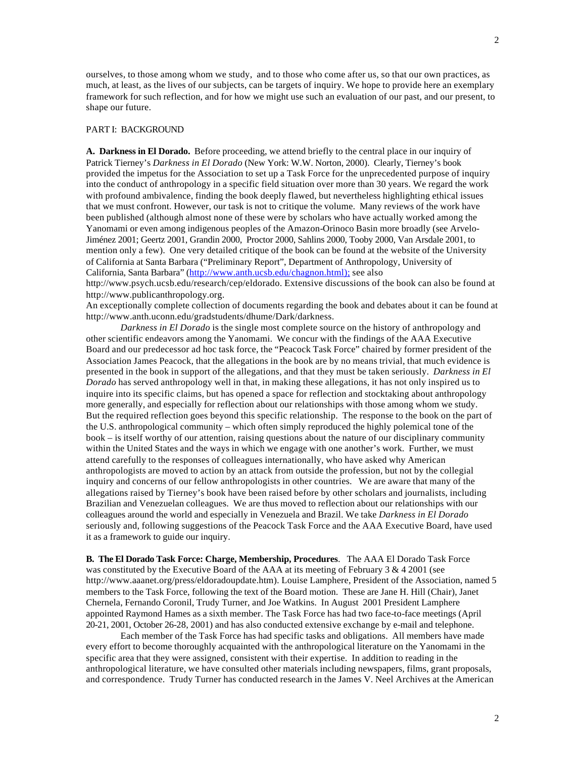ourselves, to those among whom we study, and to those who come after us, so that our own practices, as much, at least, as the lives of our subjects, can be targets of inquiry. We hope to provide here an exemplary framework for such reflection, and for how we might use such an evaluation of our past, and our present, to shape our future.

## PART I: BACKGROUND

**A. Darkness in El Dorado.** Before proceeding, we attend briefly to the central place in our inquiry of Patrick Tierney's *Darkness in El Dorado* (New York: W.W. Norton, 2000). Clearly, Tierney's book provided the impetus for the Association to set up a Task Force for the unprecedented purpose of inquiry into the conduct of anthropology in a specific field situation over more than 30 years. We regard the work with profound ambivalence, finding the book deeply flawed, but nevertheless highlighting ethical issues that we must confront. However, our task is not to critique the volume. Many reviews of the work have been published (although almost none of these were by scholars who have actually worked among the Yanomami or even among indigenous peoples of the Amazon-Orinoco Basin more broadly (see Arvelo-Jiménez 2001; Geertz 2001, Grandin 2000, Proctor 2000, Sahlins 2000, Tooby 2000, Van Arsdale 2001, to mention only a few). One very detailed critique of the book can be found at the website of the University of California at Santa Barbara ("Preliminary Report", Department of Anthropology, University of California, Santa Barbara" (http://www.anth.ucsb.edu/chagnon.html); see also

http://www.psych.ucsb.edu/research/cep/eldorado. Extensive discussions of the book can also be found at http://www.publicanthropology.org.

An exceptionally complete collection of documents regarding the book and debates about it can be found at http://www.anth.uconn.edu/gradstudents/dhume/Dark/darkness.

*Darkness in El Dorado* is the single most complete source on the history of anthropology and other scientific endeavors among the Yanomami. We concur with the findings of the AAA Executive Board and our predecessor ad hoc task force, the "Peacock Task Force" chaired by former president of the Association James Peacock, that the allegations in the book are by no means trivial, that much evidence is presented in the book in support of the allegations, and that they must be taken seriously. *Darkness in El Dorado* has served anthropology well in that, in making these allegations, it has not only inspired us to inquire into its specific claims, but has opened a space for reflection and stocktaking about anthropology more generally, and especially for reflection about our relationships with those among whom we study. But the required reflection goes beyond this specific relationship. The response to the book on the part of the U.S. anthropological community – which often simply reproduced the highly polemical tone of the book – is itself worthy of our attention, raising questions about the nature of our disciplinary community within the United States and the ways in which we engage with one another's work. Further, we must attend carefully to the responses of colleagues internationally, who have asked why American anthropologists are moved to action by an attack from outside the profession, but not by the collegial inquiry and concerns of our fellow anthropologists in other countries. We are aware that many of the allegations raised by Tierney's book have been raised before by other scholars and journalists, including Brazilian and Venezuelan colleagues. We are thus moved to reflection about our relationships with our colleagues around the world and especially in Venezuela and Brazil. We take *Darkness in El Dorado* seriously and, following suggestions of the Peacock Task Force and the AAA Executive Board, have used it as a framework to guide our inquiry.

**B. The El Dorado Task Force: Charge, Membership, Procedures**. The AAA El Dorado Task Force was constituted by the Executive Board of the AAA at its meeting of February  $3 \& 4 \, 2001$  (see http://www.aaanet.org/press/eldoradoupdate.htm). Louise Lamphere, President of the Association, named 5 members to the Task Force, following the text of the Board motion. These are Jane H. Hill (Chair), Janet Chernela, Fernando Coronil, Trudy Turner, and Joe Watkins. In August 2001 President Lamphere appointed Raymond Hames as a sixth member. The Task Force has had two face-to-face meetings (April 20-21, 2001, October 26-28, 2001) and has also conducted extensive exchange by e-mail and telephone.

Each member of the Task Force has had specific tasks and obligations. All members have made every effort to become thoroughly acquainted with the anthropological literature on the Yanomami in the specific area that they were assigned, consistent with their expertise. In addition to reading in the anthropological literature, we have consulted other materials including newspapers, films, grant proposals, and correspondence. Trudy Turner has conducted research in the James V. Neel Archives at the American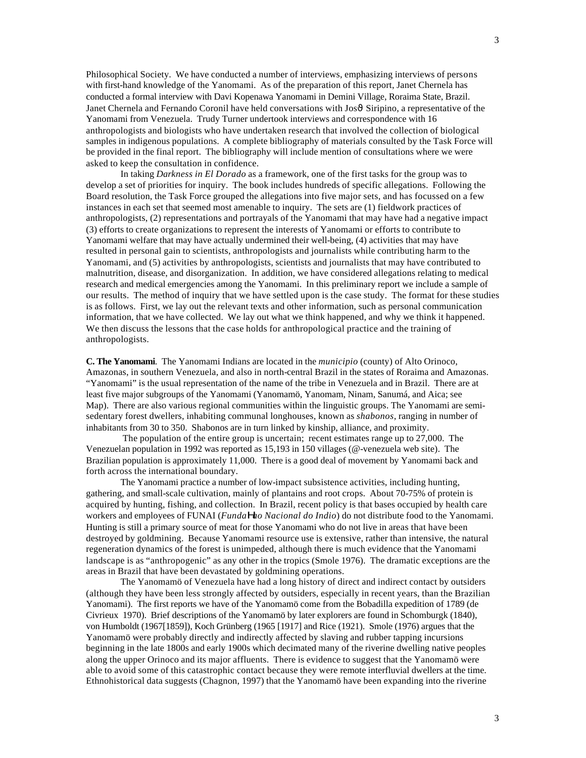Philosophical Society. We have conducted a number of interviews, emphasizing interviews of persons with first-hand knowledge of the Yanomami. As of the preparation of this report, Janet Chernela has conducted a formal interview with Davi Kopenawa Yanomami in Demini Village, Roraima State, Brazil. Janet Chernela and Fernando Coronil have held conversations with Jos $\vartheta$  Siripino, a representative of the Yanomami from Venezuela. Trudy Turner undertook interviews and correspondence with 16 anthropologists and biologists who have undertaken research that involved the collection of biological samples in indigenous populations. A complete bibliography of materials consulted by the Task Force will be provided in the final report. The bibliography will include mention of consultations where we were asked to keep the consultation in confidence.

In taking *Darkness in El Dorado* as a framework, one of the first tasks for the group was to develop a set of priorities for inquiry. The book includes hundreds of specific allegations. Following the Board resolution, the Task Force grouped the allegations into five major sets, and has focussed on a few instances in each set that seemed most amenable to inquiry. The sets are (1) fieldwork practices of anthropologists, (2) representations and portrayals of the Yanomami that may have had a negative impact (3) efforts to create organizations to represent the interests of Yanomami or efforts to contribute to Yanomami welfare that may have actually undermined their well-being, (4) activities that may have resulted in personal gain to scientists, anthropologists and journalists while contributing harm to the Yanomami, and (5) activities by anthropologists, scientists and journalists that may have contributed to malnutrition, disease, and disorganization. In addition, we have considered allegations relating to medical research and medical emergencies among the Yanomami. In this preliminary report we include a sample of our results. The method of inquiry that we have settled upon is the case study. The format for these studies is as follows. First, we lay out the relevant texts and other information, such as personal communication information, that we have collected. We lay out what we think happened, and why we think it happened. We then discuss the lessons that the case holds for anthropological practice and the training of anthropologists.

**C. The Yanomami**. The Yanomami Indians are located in the *municipio* (county) of Alto Orinoco, Amazonas, in southern Venezuela, and also in north-central Brazil in the states of Roraima and Amazonas. "Yanomami" is the usual representation of the name of the tribe in Venezuela and in Brazil. There are at least five major subgroups of the Yanomami (Yanomamö, Yanomam, Ninam, Sanumá, and Aica; see Map). There are also various regional communities within the linguistic groups. The Yanomami are semisedentary forest dwellers, inhabiting communal longhouses, known as *shabonos*, ranging in number of inhabitants from 30 to 350. Shabonos are in turn linked by kinship, alliance, and proximity.

 The population of the entire group is uncertain; recent estimates range up to 27,000. The Venezuelan population in 1992 was reported as 15,193 in 150 villages (@-venezuela web site). The Brazilian population is approximately 11,000. There is a good deal of movement by Yanomami back and forth across the international boundary.

The Yanomami practice a number of low-impact subsistence activities, including hunting, gathering, and small-scale cultivation, mainly of plantains and root crops. About 70-75% of protein is acquired by hunting, fishing, and collection. In Brazil, recent policy is that bases occupied by health care workers and employees of FUNAI (*FundaHao Nacional do Indio*) do not distribute food to the Yanomami. Hunting is still a primary source of meat for those Yanomami who do not live in areas that have been destroyed by goldmining. Because Yanomami resource use is extensive, rather than intensive, the natural regeneration dynamics of the forest is unimpeded, although there is much evidence that the Yanomami landscape is as "anthropogenic" as any other in the tropics (Smole 1976). The dramatic exceptions are the areas in Brazil that have been devastated by goldmining operations.

The Yanomamö of Venezuela have had a long history of direct and indirect contact by outsiders (although they have been less strongly affected by outsiders, especially in recent years, than the Brazilian Yanomami). The first reports we have of the Yanomamö come from the Bobadilla expedition of 1789 (de Civrieux 1970). Brief descriptions of the Yanomamö by later explorers are found in Schomburgk (1840), von Humboldt (1967[1859]), Koch Grünberg (1965 [1917] and Rice (1921). Smole (1976) argues that the Yanomamö were probably directly and indirectly affected by slaving and rubber tapping incursions beginning in the late 1800s and early 1900s which decimated many of the riverine dwelling native peoples along the upper Orinoco and its major affluents. There is evidence to suggest that the Yanomamö were able to avoid some of this catastrophic contact because they were remote interfluvial dwellers at the time. Ethnohistorical data suggests (Chagnon, 1997) that the Yanomamö have been expanding into the riverine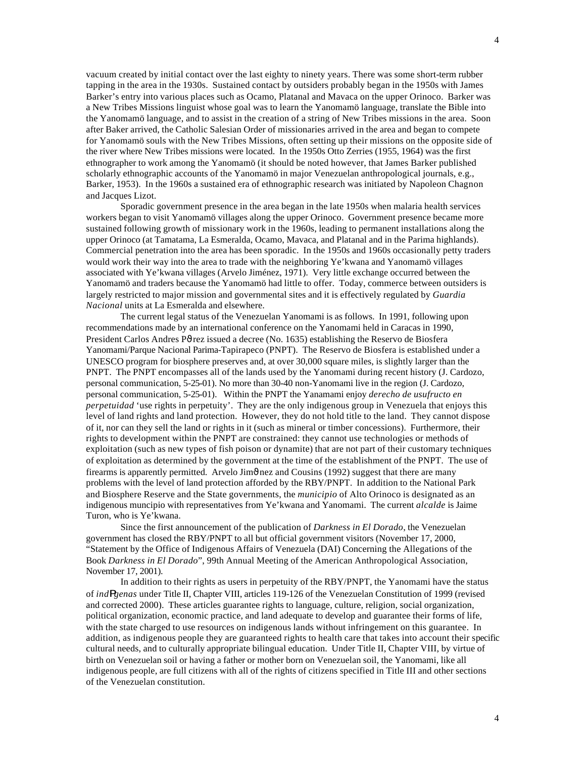vacuum created by initial contact over the last eighty to ninety years. There was some short-term rubber tapping in the area in the 1930s. Sustained contact by outsiders probably began in the 1950s with James Barker's entry into various places such as Ocamo, Platanal and Mavaca on the upper Orinoco. Barker was a New Tribes Missions linguist whose goal was to learn the Yanomamö language, translate the Bible into the Yanomamö language, and to assist in the creation of a string of New Tribes missions in the area. Soon after Baker arrived, the Catholic Salesian Order of missionaries arrived in the area and began to compete for Yanomamö souls with the New Tribes Missions, often setting up their missions on the opposite side of the river where New Tribes missions were located. In the 1950s Otto Zerries (1955, 1964) was the first ethnographer to work among the Yanomamö (it should be noted however, that James Barker published scholarly ethnographic accounts of the Yanomamö in major Venezuelan anthropological journals, e.g., Barker, 1953). In the 1960s a sustained era of ethnographic research was initiated by Napoleon Chagnon and Jacques Lizot.

Sporadic government presence in the area began in the late 1950s when malaria health services workers began to visit Yanomamö villages along the upper Orinoco. Government presence became more sustained following growth of missionary work in the 1960s, leading to permanent installations along the upper Orinoco (at Tamatama, La Esmeralda, Ocamo, Mavaca, and Platanal and in the Parima highlands). Commercial penetration into the area has been sporadic. In the 1950s and 1960s occasionally petty traders would work their way into the area to trade with the neighboring Ye'kwana and Yanomamö villages associated with Ye'kwana villages (Arvelo Jiménez, 1971). Very little exchange occurred between the Yanomamö and traders because the Yanomamö had little to offer. Today, commerce between outsiders is largely restricted to major mission and governmental sites and it is effectively regulated by *Guardia Nacional* units at La Esmeralda and elsewhere.

The current legal status of the Venezuelan Yanomami is as follows. In 1991, following upon recommendations made by an international conference on the Yanomami held in Caracas in 1990, President Carlos Andres P $\vartheta$ rez issued a decree (No. 1635) establishing the Reservo de Biosfera Yanomami/Parque Nacional Parima-Tapirapeco (PNPT). The Reservo de Biosfera is established under a UNESCO program for biosphere preserves and, at over 30,000 square miles, is slightly larger than the PNPT. The PNPT encompasses all of the lands used by the Yanomami during recent history (J. Cardozo, personal communication, 5-25-01). No more than 30-40 non-Yanomami live in the region (J. Cardozo, personal communication, 5-25-01). Within the PNPT the Yanamami enjoy *derecho de usufructo en perpetuidad* 'use rights in perpetuity'. They are the only indigenous group in Venezuela that enjoys this level of land rights and land protection. However, they do not hold title to the land. They cannot dispose of it, nor can they sell the land or rights in it (such as mineral or timber concessions). Furthermore, their rights to development within the PNPT are constrained: they cannot use technologies or methods of exploitation (such as new types of fish poison or dynamite) that are not part of their customary techniques of exploitation as determined by the government at the time of the establishment of the PNPT. The use of firearms is apparently permitted. Arvelo Jim $\vartheta$ nez and Cousins (1992) suggest that there are many problems with the level of land protection afforded by the RBY/PNPT. In addition to the National Park and Biosphere Reserve and the State governments, the *municipio* of Alto Orinoco is designated as an indigenous muncipio with representatives from Ye'kwana and Yanomami. The current *alcalde* is Jaime Turon, who is Ye'kwana.

Since the first announcement of the publication of *Darkness in El Dorado*, the Venezuelan government has closed the RBY/PNPT to all but official government visitors (November 17, 2000, "Statement by the Office of Indigenous Affairs of Venezuela (DAI) Concerning the Allegations of the Book *Darkness in El Dorado*", 99th Annual Meeting of the American Anthropological Association, November 17, 2001).

In addition to their rights as users in perpetuity of the RBY/PNPT, the Yanomami have the status of *indRgenas* under Title II, Chapter VIII, articles 119-126 of the Venezuelan Constitution of 1999 (revised and corrected 2000). These articles guarantee rights to language, culture, religion, social organization, political organization, economic practice, and land adequate to develop and guarantee their forms of life, with the state charged to use resources on indigenous lands without infringement on this guarantee. In addition, as indigenous people they are guaranteed rights to health care that takes into account their specific cultural needs, and to culturally appropriate bilingual education. Under Title II, Chapter VIII, by virtue of birth on Venezuelan soil or having a father or mother born on Venezuelan soil, the Yanomami, like all indigenous people, are full citizens with all of the rights of citizens specified in Title III and other sections of the Venezuelan constitution.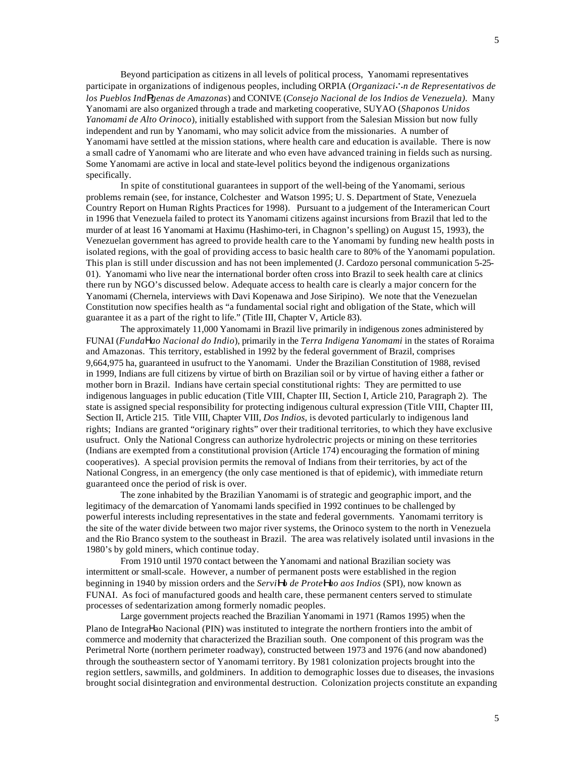Beyond participation as citizens in all levels of political process, Yanomami representatives participate in organizations of indigenous peoples, including ORPIA (*Organizaci\n de Representativos de los Pueblos IndRgenas de Amazonas*) and CONIVE (*Consejo Nacional de los Indios de Venezuela).* Many Yanomami are also organized through a trade and marketing cooperative, SUYAO (*Shaponos Unidos Yanomami de Alto Orinoco*), initially established with support from the Salesian Mission but now fully independent and run by Yanomami, who may solicit advice from the missionaries. A number of Yanomami have settled at the mission stations, where health care and education is available. There is now a small cadre of Yanomami who are literate and who even have advanced training in fields such as nursing. Some Yanomami are active in local and state-level politics beyond the indigenous organizations specifically.

In spite of constitutional guarantees in support of the well-being of the Yanomami, serious problems remain (see, for instance, Colchester and Watson 1995; U. S. Department of State, Venezuela Country Report on Human Rights Practices for 1998). Pursuant to a judgement of the Interamerican Court in 1996 that Venezuela failed to protect its Yanomami citizens against incursions from Brazil that led to the murder of at least 16 Yanomami at Haximu (Hashimo-teri, in Chagnon's spelling) on August 15, 1993), the Venezuelan government has agreed to provide health care to the Yanomami by funding new health posts in isolated regions, with the goal of providing access to basic health care to 80% of the Yanomami population. This plan is still under discussion and has not been implemented (J. Cardozo personal communication 5-25- 01). Yanomami who live near the international border often cross into Brazil to seek health care at clinics there run by NGO's discussed below. Adequate access to health care is clearly a major concern for the Yanomami (Chernela, interviews with Davi Kopenawa and Jose Siripino). We note that the Venezuelan Constitution now specifies health as "a fundamental social right and obligation of the State, which will guarantee it as a part of the right to life." (Title III, Chapter V, Article 83).

The approximately 11,000 Yanomami in Brazil live primarily in indigenous zones administered by FUNAI (*Funda*Η*ao Nacional do Indio*), primarily in the *Terra Indigena Yanomami* in the states of Roraima and Amazonas. This territory, established in 1992 by the federal government of Brazil, comprises 9,664,975 ha, guaranteed in usufruct to the Yanomami. Under the Brazilian Constitution of 1988, revised in 1999, Indians are full citizens by virtue of birth on Brazilian soil or by virtue of having either a father or mother born in Brazil. Indians have certain special constitutional rights: They are permitted to use indigenous languages in public education (Title VIII, Chapter III, Section I, Article 210, Paragraph 2). The state is assigned special responsibility for protecting indigenous cultural expression (Title VIII, Chapter III, Section II, Article 215. Title VIII, Chapter VIII, *Dos Indios*, is devoted particularly to indigenous land rights; Indians are granted "originary rights" over their traditional territories, to which they have exclusive usufruct. Only the National Congress can authorize hydrolectric projects or mining on these territories (Indians are exempted from a constitutional provision (Article 174) encouraging the formation of mining cooperatives). A special provision permits the removal of Indians from their territories, by act of the National Congress, in an emergency (the only case mentioned is that of epidemic), with immediate return guaranteed once the period of risk is over.

The zone inhabited by the Brazilian Yanomami is of strategic and geographic import, and the legitimacy of the demarcation of Yanomami lands specified in 1992 continues to be challenged by powerful interests including representatives in the state and federal governments. Yanomami territory is the site of the water divide between two major river systems, the Orinoco system to the north in Venezuela and the Rio Branco system to the southeast in Brazil. The area was relatively isolated until invasions in the 1980's by gold miners, which continue today.

From 1910 until 1970 contact between the Yanomami and national Brazilian society was intermittent or small-scale. However, a number of permanent posts were established in the region beginning in 1940 by mission orders and the *ServiHo de ProteHao aos Indios* (SPI), now known as FUNAI. As foci of manufactured goods and health care, these permanent centers served to stimulate processes of sedentarization among formerly nomadic peoples.

Large government projects reached the Brazilian Yanomami in 1971 (Ramos 1995) when the Plano de IntegraΗao Nacional (PIN) was instituted to integrate the northern frontiers into the ambit of commerce and modernity that characterized the Brazilian south. One component of this program was the Perimetral Norte (northern perimeter roadway), constructed between 1973 and 1976 (and now abandoned) through the southeastern sector of Yanomami territory. By 1981 colonization projects brought into the region settlers, sawmills, and goldminers. In addition to demographic losses due to diseases, the invasions brought social disintegration and environmental destruction. Colonization projects constitute an expanding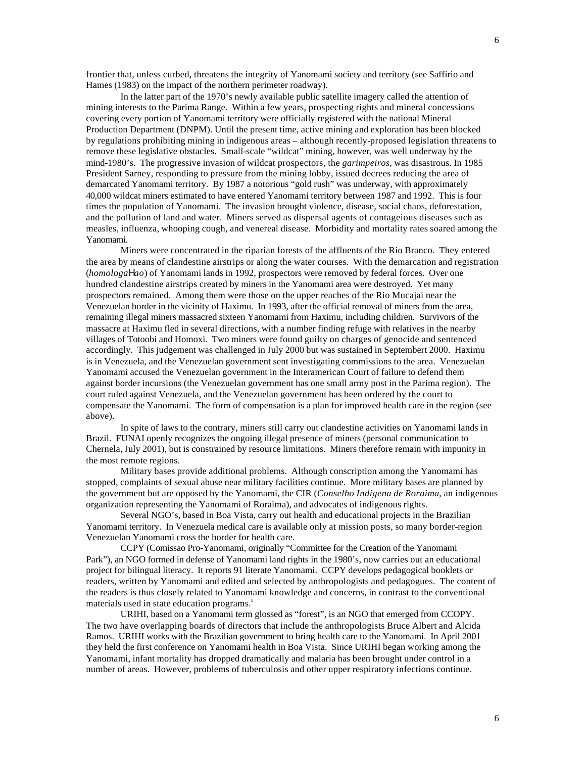6

frontier that, unless curbed, threatens the integrity of Yanomami society and territory (see Saffirio and Hames (1983) on the impact of the northern perimeter roadway).

In the latter part of the 1970's newly available public satellite imagery called the attention of mining interests to the Parima Range. Within a few years, prospecting rights and mineral concessions covering every portion of Yanomami territory were officially registered with the national Mineral Production Department (DNPM). Until the present time, active mining and exploration has been blocked by regulations prohibiting mining in indigenous areas – although recently-proposed legislation threatens to remove these legislative obstacles. Small-scale "wildcat" mining, however, was well underway by the mind-1980's. The progressive invasion of wildcat prospectors, the *garimpeiros*, was disastrous. In 1985 President Sarney, responding to pressure from the mining lobby, issued decrees reducing the area of demarcated Yanomami territory. By 1987 a notorious "gold rush" was underway, with approximately 40,000 wildcat miners estimated to have entered Yanomami territory between 1987 and 1992. This is four times the population of Yanomami. The invasion brought violence, disease, social chaos, deforestation, and the pollution of land and water. Miners served as dispersal agents of contageious diseases such as measles, influenza, whooping cough, and venereal disease. Morbidity and mortality rates soared among the Yanomami.

Miners were concentrated in the riparian forests of the affluents of the Rio Branco. They entered the area by means of clandestine airstrips or along the water courses. With the demarcation and registration (*homologa*Η*ao*) of Yanomami lands in 1992, prospectors were removed by federal forces. Over one hundred clandestine airstrips created by miners in the Yanomami area were destroyed. Yet many prospectors remained. Among them were those on the upper reaches of the Rio Mucajai near the Venezuelan border in the vicinity of Haximu. In 1993, after the official removal of miners from the area, remaining illegal miners massacred sixteen Yanomami from Haximu, including children. Survivors of the massacre at Haximu fled in several directions, with a number finding refuge with relatives in the nearby villages of Totoobi and Homoxi. Two miners were found guilty on charges of genocide and sentenced accordingly. This judgement was challenged in July 2000 but was sustained in Septembert 2000. Haximu is in Venezuela, and the Venezuelan government sent investigating commissions to the area. Venezuelan Yanomami accused the Venezuelan government in the Interamerican Court of failure to defend them against border incursions (the Venezuelan government has one small army post in the Parima region). The court ruled against Venezuela, and the Venezuelan government has been ordered by the court to compensate the Yanomami. The form of compensation is a plan for improved health care in the region (see above).

In spite of laws to the contrary, miners still carry out clandestine activities on Yanomami lands in Brazil. FUNAI openly recognizes the ongoing illegal presence of miners (personal communication to Chernela, July 2001), but is constrained by resource limitations. Miners therefore remain with impunity in the most remote regions.

Military bases provide additional problems. Although conscription among the Yanomami has stopped, complaints of sexual abuse near military facilities continue. More military bases are planned by the government but are opposed by the Yanomami, the CIR (*Conselho Indigena de Roraima*, an indigenous organization representing the Yanomami of Roraima), and advocates of indigenous rights.

Several NGO's, based in Boa Vista, carry out health and educational projects in the Brazilian Yanomami territory. In Venezuela medical care is available only at mission posts, so many border-region Venezuelan Yanomami cross the border for health care.

CCPY (Comissao Pro-Yanomami, originally "Committee for the Creation of the Yanomami Park"), an NGO formed in defense of Yanomami land rights in the 1980's, now carries out an educational project for bilingual literacy. It reports 91 literate Yanomami. CCPY develops pedagogical booklets or readers, written by Yanomami and edited and selected by anthropologists and pedagogues. The content of the readers is thus closely related to Yanomami knowledge and concerns, in contrast to the conventional materials used in state education programs.<sup>1</sup>

URIHI, based on a Yanomami term glossed as "forest", is an NGO that emerged from CCOPY. The two have overlapping boards of directors that include the anthropologists Bruce Albert and Alcida Ramos. URIHI works with the Brazilian government to bring health care to the Yanomami. In April 2001 they held the first conference on Yanomami health in Boa Vista. Since URIHI began working among the Yanomami, infant mortality has dropped dramatically and malaria has been brought under control in a number of areas. However, problems of tuberculosis and other upper respiratory infections continue.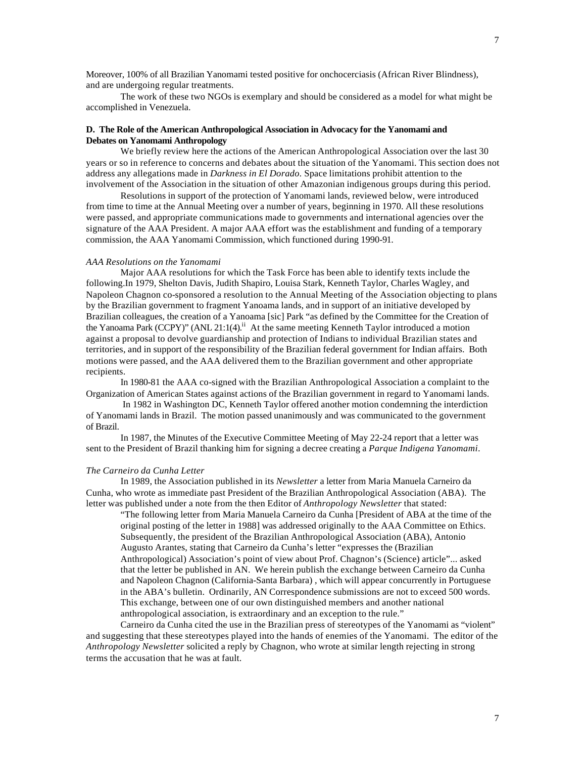The work of these two NGOs is exemplary and should be considered as a model for what might be accomplished in Venezuela.

## **D. The Role of the American Anthropological Association in Advocacy for the Yanomami and Debates on Yanomami Anthropology**

We briefly review here the actions of the American Anthropological Association over the last 30 years or so in reference to concerns and debates about the situation of the Yanomami. This section does not address any allegations made in *Darkness in El Dorado.* Space limitations prohibit attention to the involvement of the Association in the situation of other Amazonian indigenous groups during this period.

Resolutions in support of the protection of Yanomami lands, reviewed below, were introduced from time to time at the Annual Meeting over a number of years, beginning in 1970. All these resolutions were passed, and appropriate communications made to governments and international agencies over the signature of the AAA President. A major AAA effort was the establishment and funding of a temporary commission, the AAA Yanomami Commission, which functioned during 1990-91.

### *AAA Resolutions on the Yanomami*

Major AAA resolutions for which the Task Force has been able to identify texts include the following.In 1979, Shelton Davis, Judith Shapiro, Louisa Stark, Kenneth Taylor, Charles Wagley, and Napoleon Chagnon co-sponsored a resolution to the Annual Meeting of the Association objecting to plans by the Brazilian government to fragment Yanoama lands, and in support of an initiative developed by Brazilian colleagues, the creation of a Yanoama [sic] Park "as defined by the Committee for the Creation of the Yanoama Park (CCPY)" (ANL 21:1(4).<sup>ii</sup> At the same meeting Kenneth Taylor introduced a motion against a proposal to devolve guardianship and protection of Indians to individual Brazilian states and territories, and in support of the responsibility of the Brazilian federal government for Indian affairs. Both motions were passed, and the AAA delivered them to the Brazilian government and other appropriate recipients.

In 1980-81 the AAA co-signed with the Brazilian Anthropological Association a complaint to the Organization of American States against actions of the Brazilian government in regard to Yanomami lands.

 In 1982 in Washington DC, Kenneth Taylor offered another motion condemning the interdiction of Yanomami lands in Brazil. The motion passed unanimously and was communicated to the government of Brazil.

In 1987, the Minutes of the Executive Committee Meeting of May 22-24 report that a letter was sent to the President of Brazil thanking him for signing a decree creating a *Parque Indigena Yanomami*.

## *The Carneiro da Cunha Letter*

In 1989, the Association published in its *Newsletter* a letter from Maria Manuela Carneiro da Cunha, who wrote as immediate past President of the Brazilian Anthropological Association (ABA). The letter was published under a note from the then Editor of *Anthropology Newsletter* that stated:

"The following letter from Maria Manuela Carneiro da Cunha [President of ABA at the time of the original posting of the letter in 1988] was addressed originally to the AAA Committee on Ethics. Subsequently, the president of the Brazilian Anthropological Association (ABA), Antonio Augusto Arantes, stating that Carneiro da Cunha's letter "expresses the (Brazilian Anthropological) Association's point of view about Prof. Chagnon's (Science) article"... asked that the letter be published in AN. We herein publish the exchange between Carneiro da Cunha and Napoleon Chagnon (California-Santa Barbara) , which will appear concurrently in Portuguese in the ABA's bulletin. Ordinarily, AN Correspondence submissions are not to exceed 500 words. This exchange, between one of our own distinguished members and another national anthropological association, is extraordinary and an exception to the rule."

Carneiro da Cunha cited the use in the Brazilian press of stereotypes of the Yanomami as "violent" and suggesting that these stereotypes played into the hands of enemies of the Yanomami. The editor of the *Anthropology Newsletter* solicited a reply by Chagnon, who wrote at similar length rejecting in strong terms the accusation that he was at fault.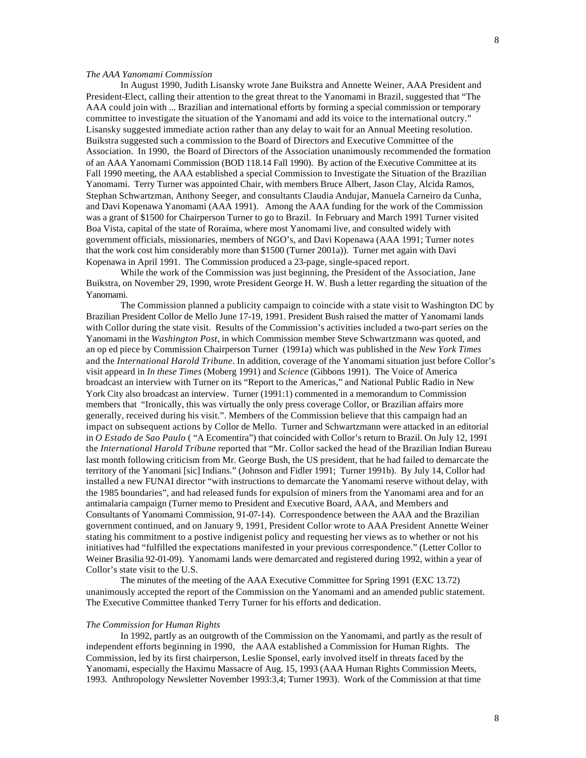## *The AAA Yanomami Commission*

In August 1990, Judith Lisansky wrote Jane Buikstra and Annette Weiner, AAA President and President-Elect, calling their attention to the great threat to the Yanomami in Brazil, suggested that "The AAA could join with ... Brazilian and international efforts by forming a special commission or temporary committee to investigate the situation of the Yanomami and add its voice to the international outcry." Lisansky suggested immediate action rather than any delay to wait for an Annual Meeting resolution. Buikstra suggested such a commission to the Board of Directors and Executive Committee of the Association. In 1990, the Board of Directors of the Association unanimously recommended the formation of an AAA Yanomami Commission (BOD 118.14 Fall 1990). By action of the Executive Committee at its Fall 1990 meeting, the AAA established a special Commission to Investigate the Situation of the Brazilian Yanomami. Terry Turner was appointed Chair, with members Bruce Albert, Jason Clay, Alcida Ramos, Stephan Schwartzman, Anthony Seeger, and consultants Claudia Andujar, Manuela Carneiro da Cunha, and Davi Kopenawa Yanomami (AAA 1991). Among the AAA funding for the work of the Commission was a grant of \$1500 for Chairperson Turner to go to Brazil. In February and March 1991 Turner visited Boa Vista, capital of the state of Roraima, where most Yanomami live, and consulted widely with government officials, missionaries, members of NGO's, and Davi Kopenawa (AAA 1991; Turner notes that the work cost him considerably more than \$1500 (Turner 2001a)). Turner met again with Davi Kopenawa in April 1991. The Commission produced a 23-page, single-spaced report.

While the work of the Commission was just beginning, the President of the Association, Jane Buikstra, on November 29, 1990, wrote President George H. W. Bush a letter regarding the situation of the Yanomami.

The Commission planned a publicity campaign to coincide with a state visit to Washington DC by Brazilian President Collor de Mello June 17-19, 1991. President Bush raised the matter of Yanomami lands with Collor during the state visit. Results of the Commission's activities included a two-part series on the Yanomami in the *Washington Post*, in which Commission member Steve Schwartzmann was quoted, and an op ed piece by Commission Chairperson Turner (1991a) which was published in the *New York Times* and the *International Harold Tribune*. In addition, coverage of the Yanomami situation just before Collor's visit appeard in *In these Times* (Moberg 1991) and *Science* (Gibbons 1991). The Voice of America broadcast an interview with Turner on its "Report to the Americas," and National Public Radio in New York City also broadcast an interview. Turner (1991:1) commented in a memorandum to Commission members that "Ironically, this was virtually the only press coverage Collor, or Brazilian affairs more generally, received during his visit.". Members of the Commission believe that this campaign had an impact on subsequent actions by Collor de Mello. Turner and Schwartzmann were attacked in an editorial in *O Estado de Sao Paulo* ( "A Ecomentira") that coincided with Collor's return to Brazil. On July 12, 1991 the *International Harold Tribune* reported that "Mr. Collor sacked the head of the Brazilian Indian Bureau last month following criticism from Mr. George Bush, the US president, that he had failed to demarcate the territory of the Yanomani [sic] Indians." (Johnson and Fidler 1991; Turner 1991b). By July 14, Collor had installed a new FUNAI director "with instructions to demarcate the Yanomami reserve without delay, with the 1985 boundaries", and had released funds for expulsion of miners from the Yanomami area and for an antimalaria campaign (Turner memo to President and Executive Board, AAA, and Members and Consultants of Yanomami Commission, 91-07-14). Correspondence between the AAA and the Brazilian government continued, and on January 9, 1991, President Collor wrote to AAA President Annette Weiner stating his commitment to a postive indigenist policy and requesting her views as to whether or not his initiatives had "fulfilled the expectations manifested in your previous correspondence." (Letter Collor to Weiner Brasilia 92-01-09). Yanomami lands were demarcated and registered during 1992, within a year of Collor's state visit to the U.S.

The minutes of the meeting of the AAA Executive Committee for Spring 1991 (EXC 13.72) unanimously accepted the report of the Commission on the Yanomami and an amended public statement. The Executive Committee thanked Terry Turner for his efforts and dedication.

#### *The Commission for Human Rights*

In 1992, partly as an outgrowth of the Commission on the Yanomami, and partly as the result of independent efforts beginning in 1990, the AAA established a Commission for Human Rights. The Commission, led by its first chairperson, Leslie Sponsel, early involved itself in threats faced by the Yanomami, especially the Haximu Massacre of Aug. 15, 1993 (AAA Human Rights Commission Meets, 1993. Anthropology Newsletter November 1993:3,4; Turner 1993). Work of the Commission at that time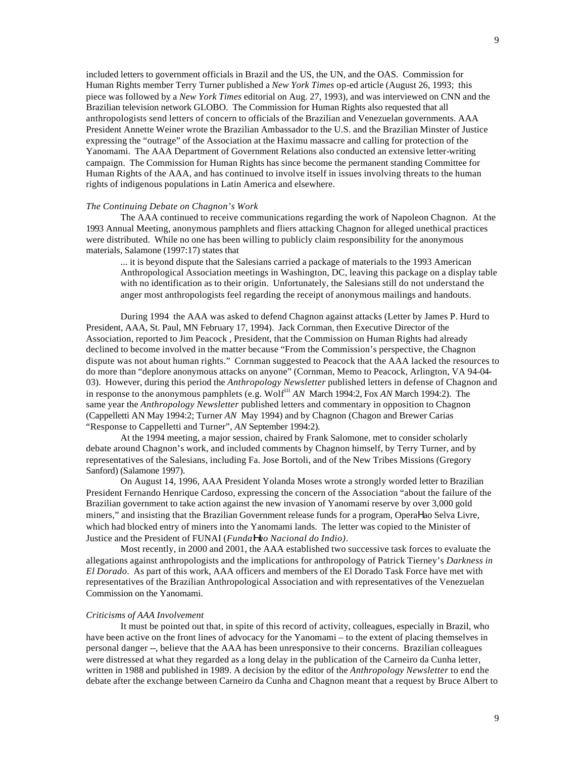included letters to government officials in Brazil and the US, the UN, and the OAS. Commission for Human Rights member Terry Turner published a *New York Times* op-ed article (August 26, 1993; this piece was followed by a *New York Times* editorial on Aug. 27, 1993), and was interviewed on CNN and the Brazilian television network GLOBO. The Commission for Human Rights also requested that all anthropologists send letters of concern to officials of the Brazilian and Venezuelan governments. AAA President Annette Weiner wrote the Brazilian Ambassador to the U.S. and the Brazilian Minster of Justice expressing the "outrage" of the Association at the Haximu massacre and calling for protection of the Yanomami. The AAA Department of Government Relations also conducted an extensive letter-writing campaign. The Commission for Human Rights has since become the permanent standing Committee for Human Rights of the AAA, and has continued to involve itself in issues involving threats to the human rights of indigenous populations in Latin America and elsewhere.

#### *The Continuing Debate on Chagnon's Work*

The AAA continued to receive communications regarding the work of Napoleon Chagnon. At the 1993 Annual Meeting, anonymous pamphlets and fliers attacking Chagnon for alleged unethical practices were distributed. While no one has been willing to publicly claim responsibility for the anonymous materials, Salamone (1997:17) states that

... it is beyond dispute that the Salesians carried a package of materials to the 1993 American Anthropological Association meetings in Washington, DC, leaving this package on a display table with no identification as to their origin. Unfortunately, the Salesians still do not understand the anger most anthropologists feel regarding the receipt of anonymous mailings and handouts.

During 1994 the AAA was asked to defend Chagnon against attacks (Letter by James P. Hurd to President, AAA, St. Paul, MN February 17, 1994). Jack Cornman, then Executive Director of the Association, reported to Jim Peacock , President, that the Commission on Human Rights had already declined to become involved in the matter because "From the Commission's perspective, the Chagnon dispute was not about human rights." Cornman suggested to Peacock that the AAA lacked the resources to do more than "deplore anonymous attacks on anyone" (Cornman, Memo to Peacock, Arlington, VA 94-04- 03). However, during this period the *Anthropology Newsletter* published letters in defense of Chagnon and in response to the anonymous pamphlets (e.g. Wolfiii *AN* March 1994:2, Fox *AN* March 1994:2). The same year the *Anthropology Newsletter* published letters and commentary in opposition to Chagnon (Cappelletti AN May 1994:2; Turner *AN* May 1994) and by Chagnon (Chagon and Brewer Carias "Response to Cappelletti and Turner", *AN* September 1994:2).

At the 1994 meeting, a major session, chaired by Frank Salomone, met to consider scholarly debate around Chagnon's work, and included comments by Chagnon himself, by Terry Turner, and by representatives of the Salesians, including Fa. Jose Bortoli, and of the New Tribes Missions (Gregory Sanford) (Salamone 1997).

On August 14, 1996, AAA President Yolanda Moses wrote a strongly worded letter to Brazilian President Fernando Henrique Cardoso, expressing the concern of the Association "about the failure of the Brazilian government to take action against the new invasion of Yanomami reserve by over 3,000 gold miners," and insisting that the Brazilian Government release funds for a program, OperaΗao Selva Livre*,*  which had blocked entry of miners into the Yanomami lands. The letter was copied to the Minister of Justice and the President of FUNAI (*FundaHao Nacional do Indio)*.

Most recently, in 2000 and 2001, the AAA established two successive task forces to evaluate the allegations against anthropologists and the implications for anthropology of Patrick Tierney's *Darkness in El Dorado*. As part of this work, AAA officers and members of the El Dorado Task Force have met with representatives of the Brazilian Anthropological Association and with representatives of the Venezuelan Commission on the Yanomami.

#### *Criticisms of AAA Involvement*

It must be pointed out that, in spite of this record of activity, colleagues, especially in Brazil, who have been active on the front lines of advocacy for the Yanomami – to the extent of placing themselves in personal danger --, believe that the AAA has been unresponsive to their concerns. Brazilian colleagues were distressed at what they regarded as a long delay in the publication of the Carneiro da Cunha letter, written in 1988 and published in 1989. A decision by the editor of the *Anthropology Newsletter* to end the debate after the exchange between Carneiro da Cunha and Chagnon meant that a request by Bruce Albert to